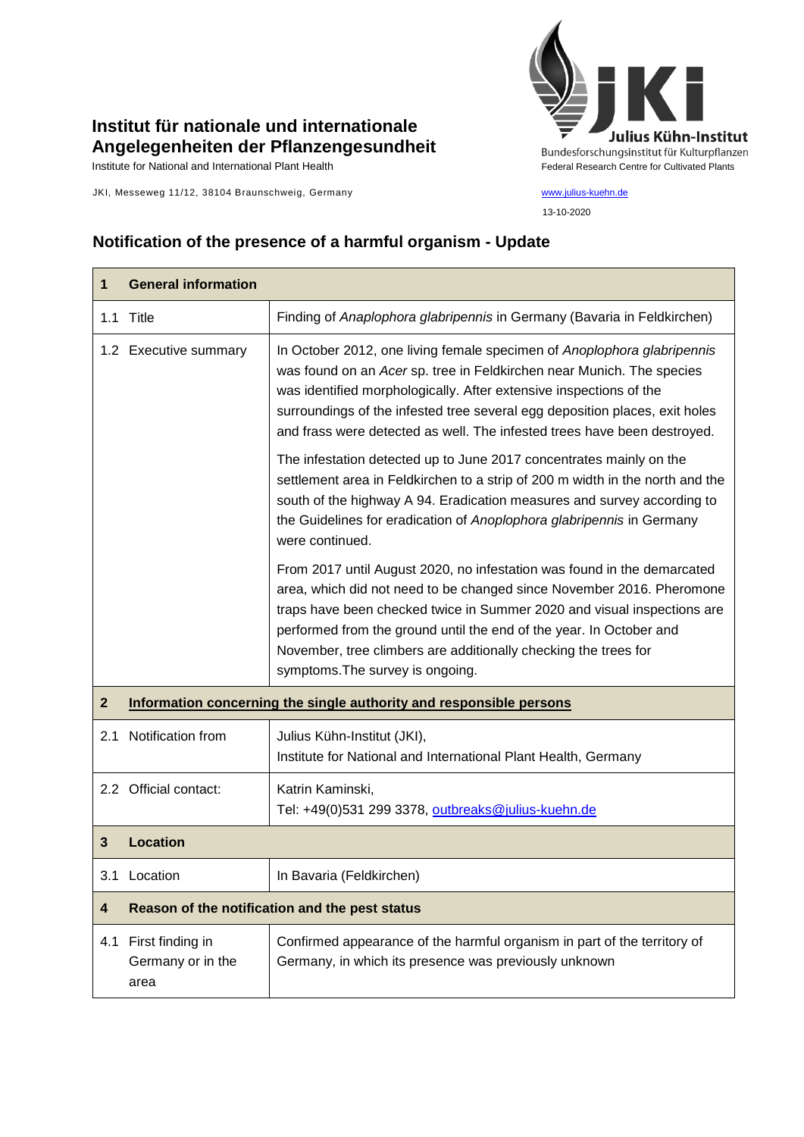## **Institut für nationale und internationale Angelegenheiten der Pflanzengesundheit**

JKI, Messeweg 11/12, 38104 Braunschweig, Germany [www.julius-kuehn.de](http://www.julius-kuehn.de/)



13-10-2020

## **Notification of the presence of a harmful organism - Update**

| 1                       | <b>General information</b>                                          |                                                                                                                                                                                                                                                                                                                                                                                                           |
|-------------------------|---------------------------------------------------------------------|-----------------------------------------------------------------------------------------------------------------------------------------------------------------------------------------------------------------------------------------------------------------------------------------------------------------------------------------------------------------------------------------------------------|
| 1.1                     | Title                                                               | Finding of Anaplophora glabripennis in Germany (Bavaria in Feldkirchen)                                                                                                                                                                                                                                                                                                                                   |
|                         | 1.2 Executive summary                                               | In October 2012, one living female specimen of Anoplophora glabripennis<br>was found on an Acer sp. tree in Feldkirchen near Munich. The species<br>was identified morphologically. After extensive inspections of the<br>surroundings of the infested tree several egg deposition places, exit holes<br>and frass were detected as well. The infested trees have been destroyed.                         |
|                         |                                                                     | The infestation detected up to June 2017 concentrates mainly on the<br>settlement area in Feldkirchen to a strip of 200 m width in the north and the<br>south of the highway A 94. Eradication measures and survey according to<br>the Guidelines for eradication of Anoplophora glabripennis in Germany<br>were continued.                                                                               |
|                         |                                                                     | From 2017 until August 2020, no infestation was found in the demarcated<br>area, which did not need to be changed since November 2016. Pheromone<br>traps have been checked twice in Summer 2020 and visual inspections are<br>performed from the ground until the end of the year. In October and<br>November, tree climbers are additionally checking the trees for<br>symptoms. The survey is ongoing. |
| $\mathbf{2}$            | Information concerning the single authority and responsible persons |                                                                                                                                                                                                                                                                                                                                                                                                           |
| 2.1                     | Notification from                                                   | Julius Kühn-Institut (JKI),<br>Institute for National and International Plant Health, Germany                                                                                                                                                                                                                                                                                                             |
|                         | 2.2 Official contact:                                               | Katrin Kaminski,<br>Tel: +49(0)531 299 3378, outbreaks@julius-kuehn.de                                                                                                                                                                                                                                                                                                                                    |
| 3                       | <b>Location</b>                                                     |                                                                                                                                                                                                                                                                                                                                                                                                           |
|                         | 3.1 Location                                                        | In Bavaria (Feldkirchen)                                                                                                                                                                                                                                                                                                                                                                                  |
| $\overline{\mathbf{4}}$ | Reason of the notification and the pest status                      |                                                                                                                                                                                                                                                                                                                                                                                                           |
| 4.1                     | First finding in<br>Germany or in the<br>area                       | Confirmed appearance of the harmful organism in part of the territory of<br>Germany, in which its presence was previously unknown                                                                                                                                                                                                                                                                         |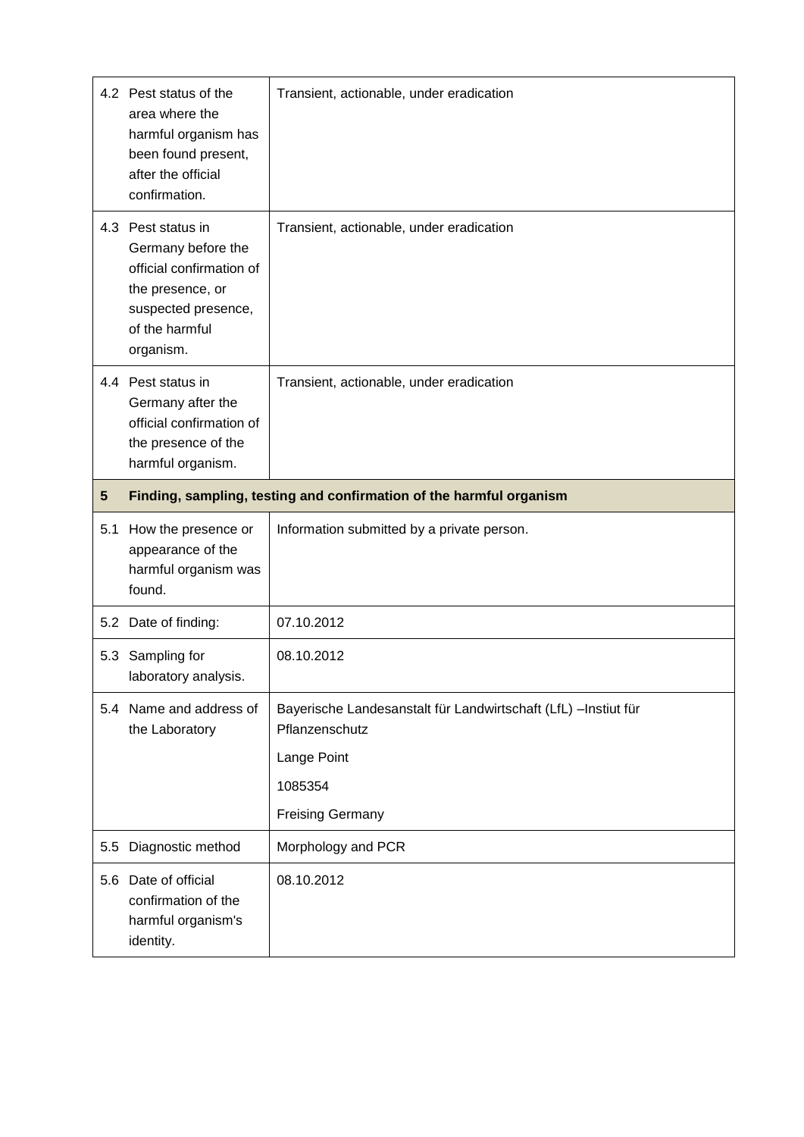|                 | 4.2 Pest status of the<br>area where the<br>harmful organism has<br>been found present,<br>after the official<br>confirmation.                 | Transient, actionable, under eradication                                                                                               |
|-----------------|------------------------------------------------------------------------------------------------------------------------------------------------|----------------------------------------------------------------------------------------------------------------------------------------|
|                 | 4.3 Pest status in<br>Germany before the<br>official confirmation of<br>the presence, or<br>suspected presence,<br>of the harmful<br>organism. | Transient, actionable, under eradication                                                                                               |
|                 | 4.4 Pest status in<br>Germany after the<br>official confirmation of<br>the presence of the<br>harmful organism.                                | Transient, actionable, under eradication                                                                                               |
| $5\phantom{.0}$ | Finding, sampling, testing and confirmation of the harmful organism                                                                            |                                                                                                                                        |
|                 |                                                                                                                                                |                                                                                                                                        |
|                 | 5.1 How the presence or<br>appearance of the<br>harmful organism was<br>found.                                                                 | Information submitted by a private person.                                                                                             |
|                 | 5.2 Date of finding:                                                                                                                           | 07.10.2012                                                                                                                             |
| 5.3             | Sampling for<br>laboratory analysis.                                                                                                           | 08.10.2012                                                                                                                             |
| 5.4             | Name and address of<br>the Laboratory                                                                                                          | Bayerische Landesanstalt für Landwirtschaft (LfL) - Instiut für<br>Pflanzenschutz<br>Lange Point<br>1085354<br><b>Freising Germany</b> |
| 5.5             | Diagnostic method                                                                                                                              | Morphology and PCR                                                                                                                     |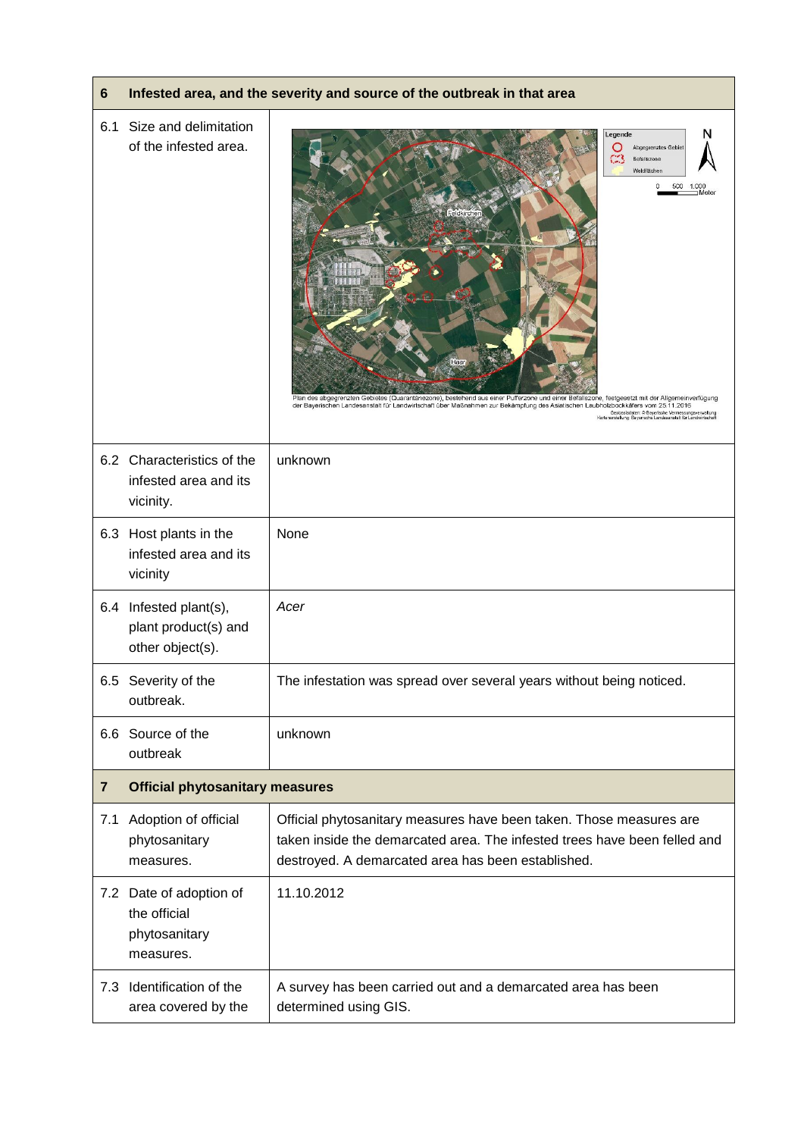| 6                       | Infested area, and the severity and source of the outbreak in that area |                                                                                                                                                                                                                                                                                                                                                                                                                                                                                                                       |
|-------------------------|-------------------------------------------------------------------------|-----------------------------------------------------------------------------------------------------------------------------------------------------------------------------------------------------------------------------------------------------------------------------------------------------------------------------------------------------------------------------------------------------------------------------------------------------------------------------------------------------------------------|
| 6.1                     | Size and delimitation<br>of the infested area.                          | N<br>Legende<br>Abgegrenztes Gebiet<br>œ<br>Befallszone<br>Waldflächen<br>0<br>500<br>1.000<br>Feldkircher<br>Plan des abgegrenzten Gebietes (Quarantänezone), bestehend aus einer Pufferzone und einer Befallszone, festgesetzt mit der Allgemeinverfügung<br>der Bayerischen Landesanstalt für Landwirtschaft über Maßnahmen zur Bekämpfung des Asiatischen Laubholzbockkäfers vom 25.11.2016<br>Geobasisdaten: @ Bayerische Vermessungsverwaltung<br>Kartenerstellung: Bayerische Landesanstalt für Landwirtschaft |
|                         | 6.2 Characteristics of the<br>infested area and its<br>vicinity.        | unknown                                                                                                                                                                                                                                                                                                                                                                                                                                                                                                               |
| 6.3                     | Host plants in the<br>infested area and its<br>vicinity                 | None                                                                                                                                                                                                                                                                                                                                                                                                                                                                                                                  |
| 6.4                     | Infested plant(s),<br>plant product(s) and<br>other object(s).          | Acer                                                                                                                                                                                                                                                                                                                                                                                                                                                                                                                  |
| 6.5                     | Severity of the<br>outbreak.                                            | The infestation was spread over several years without being noticed.                                                                                                                                                                                                                                                                                                                                                                                                                                                  |
|                         | 6.6 Source of the<br>outbreak                                           | unknown                                                                                                                                                                                                                                                                                                                                                                                                                                                                                                               |
| $\overline{\mathbf{r}}$ | <b>Official phytosanitary measures</b>                                  |                                                                                                                                                                                                                                                                                                                                                                                                                                                                                                                       |
| 7.1                     | Adoption of official<br>phytosanitary<br>measures.                      | Official phytosanitary measures have been taken. Those measures are<br>taken inside the demarcated area. The infested trees have been felled and<br>destroyed. A demarcated area has been established.                                                                                                                                                                                                                                                                                                                |
|                         | 7.2 Date of adoption of<br>the official<br>phytosanitary<br>measures.   | 11.10.2012                                                                                                                                                                                                                                                                                                                                                                                                                                                                                                            |
| 7.3                     | Identification of the<br>area covered by the                            | A survey has been carried out and a demarcated area has been<br>determined using GIS.                                                                                                                                                                                                                                                                                                                                                                                                                                 |